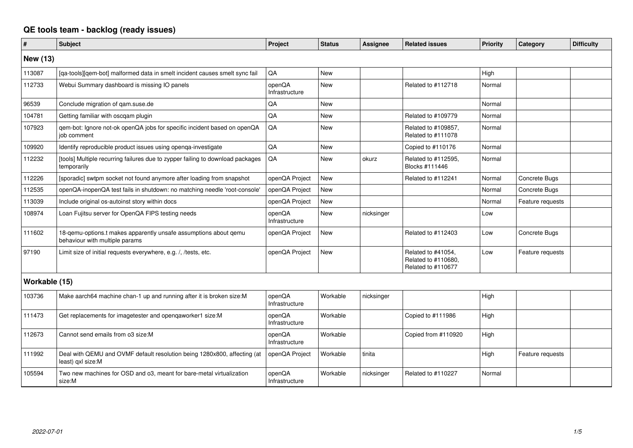## **QE tools team - backlog (ready issues)**

| #               | <b>Subject</b>                                                                                     | Project                  | <b>Status</b> | <b>Assignee</b> | <b>Related issues</b>                                           | <b>Priority</b> | Category             | <b>Difficulty</b> |
|-----------------|----------------------------------------------------------------------------------------------------|--------------------------|---------------|-----------------|-----------------------------------------------------------------|-----------------|----------------------|-------------------|
| <b>New (13)</b> |                                                                                                    |                          |               |                 |                                                                 |                 |                      |                   |
| 113087          | [qa-tools][qem-bot] malformed data in smelt incident causes smelt sync fail                        | QA                       | <b>New</b>    |                 |                                                                 | High            |                      |                   |
| 112733          | Webui Summary dashboard is missing IO panels                                                       | openQA<br>Infrastructure | <b>New</b>    |                 | Related to #112718                                              | Normal          |                      |                   |
| 96539           | Conclude migration of qam.suse.de                                                                  | QA                       | New           |                 |                                                                 | Normal          |                      |                   |
| 104781          | Getting familiar with oscgam plugin                                                                | QA                       | <b>New</b>    |                 | Related to #109779                                              | Normal          |                      |                   |
| 107923          | qem-bot: Ignore not-ok openQA jobs for specific incident based on openQA<br>iob comment            | QA                       | <b>New</b>    |                 | Related to #109857,<br>Related to #111078                       | Normal          |                      |                   |
| 109920          | Identify reproducible product issues using openqa-investigate                                      | QA                       | <b>New</b>    |                 | Copied to #110176                                               | Normal          |                      |                   |
| 112232          | [tools] Multiple recurring failures due to zypper failing to download packages<br>temporarily      | QA                       | New           | okurz           | Related to #112595,<br>Blocks #111446                           | Normal          |                      |                   |
| 112226          | [sporadic] swtpm socket not found anymore after loading from snapshot                              | openQA Project           | <b>New</b>    |                 | Related to #112241                                              | Normal          | <b>Concrete Bugs</b> |                   |
| 112535          | openQA-inopenQA test fails in shutdown: no matching needle 'root-console'                          | openQA Project           | <b>New</b>    |                 |                                                                 | Normal          | Concrete Bugs        |                   |
| 113039          | Include original os-autoinst story within docs                                                     | openQA Project           | New           |                 |                                                                 | Normal          | Feature requests     |                   |
| 108974          | Loan Fujitsu server for OpenQA FIPS testing needs                                                  | openQA<br>Infrastructure | <b>New</b>    | nicksinger      |                                                                 | Low             |                      |                   |
| 111602          | 18-qemu-options.t makes apparently unsafe assumptions about qemu<br>behaviour with multiple params | openQA Project           | <b>New</b>    |                 | Related to #112403                                              | Low             | Concrete Bugs        |                   |
| 97190           | Limit size of initial requests everywhere, e.g. /, /tests, etc.                                    | openQA Project           | <b>New</b>    |                 | Related to #41054,<br>Related to #110680,<br>Related to #110677 | Low             | Feature requests     |                   |
| Workable (15)   |                                                                                                    |                          |               |                 |                                                                 |                 |                      |                   |
| 103736          | Make aarch64 machine chan-1 up and running after it is broken size:M                               | openQA<br>Infrastructure | Workable      | nicksinger      |                                                                 | High            |                      |                   |
| 111473          | Get replacements for imagetester and openqaworker1 size:M                                          | openQA<br>Infrastructure | Workable      |                 | Copied to #111986                                               | High            |                      |                   |
| 112673          | Cannot send emails from o3 size:M                                                                  | openQA<br>Infrastructure | Workable      |                 | Copied from #110920                                             | High            |                      |                   |
| 111992          | Deal with QEMU and OVMF default resolution being 1280x800, affecting (at<br>least) gxl size:M      | openQA Project           | Workable      | tinita          |                                                                 | High            | Feature requests     |                   |
| 105594          | Two new machines for OSD and o3, meant for bare-metal virtualization<br>size:M                     | openQA<br>Infrastructure | Workable      | nicksinger      | Related to #110227                                              | Normal          |                      |                   |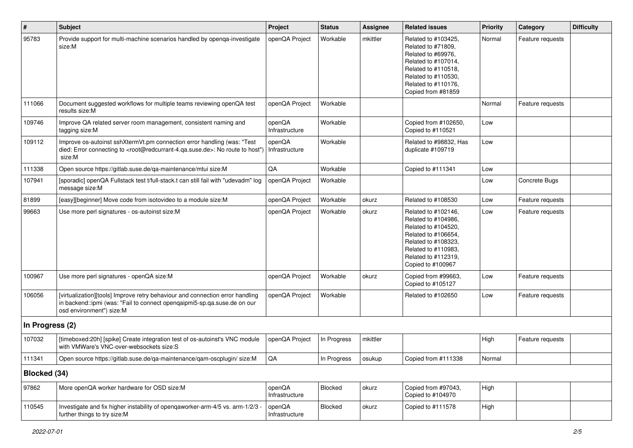| #               | Subject                                                                                                                                                                                           | Project                  | <b>Status</b> | <b>Assignee</b> | <b>Related issues</b>                                                                                                                                                              | <b>Priority</b> | Category         | <b>Difficulty</b> |
|-----------------|---------------------------------------------------------------------------------------------------------------------------------------------------------------------------------------------------|--------------------------|---------------|-----------------|------------------------------------------------------------------------------------------------------------------------------------------------------------------------------------|-----------------|------------------|-------------------|
| 95783           | Provide support for multi-machine scenarios handled by openqa-investigate<br>size:M                                                                                                               | openQA Project           | Workable      | mkittler        | Related to #103425,<br>Related to #71809,<br>Related to #69976,<br>Related to #107014,<br>Related to #110518,<br>Related to #110530,<br>Related to #110176,<br>Copied from #81859  | Normal          | Feature requests |                   |
| 111066          | Document suggested workflows for multiple teams reviewing openQA test<br>results size:M                                                                                                           | openQA Project           | Workable      |                 |                                                                                                                                                                                    | Normal          | Feature requests |                   |
| 109746          | Improve QA related server room management, consistent naming and<br>tagging size:M                                                                                                                | openQA<br>Infrastructure | Workable      |                 | Copied from #102650,<br>Copied to #110521                                                                                                                                          | Low             |                  |                   |
| 109112          | Improve os-autoinst sshXtermVt.pm connection error handling (was: "Test<br>died: Error connecting to <root@redcurrant-4.qa.suse.de>: No route to host")<br/>size:M</root@redcurrant-4.qa.suse.de> | openQA<br>Infrastructure | Workable      |                 | Related to #98832, Has<br>duplicate #109719                                                                                                                                        | Low             |                  |                   |
| 111338          | Open source https://gitlab.suse.de/qa-maintenance/mtui size:M                                                                                                                                     | QA                       | Workable      |                 | Copied to #111341                                                                                                                                                                  | Low             |                  |                   |
| 107941          | [sporadic] openQA Fullstack test t/full-stack.t can still fail with "udevadm" log<br>message size:M                                                                                               | openQA Project           | Workable      |                 |                                                                                                                                                                                    | Low             | Concrete Bugs    |                   |
| 81899           | [easy][beginner] Move code from isotovideo to a module size:M                                                                                                                                     | openQA Project           | Workable      | okurz           | Related to #108530                                                                                                                                                                 | Low             | Feature requests |                   |
| 99663           | Use more perl signatures - os-autoinst size:M                                                                                                                                                     | openQA Project           | Workable      | okurz           | Related to #102146,<br>Related to #104986,<br>Related to #104520,<br>Related to #106654,<br>Related to #108323,<br>Related to #110983,<br>Related to #112319,<br>Copied to #100967 | Low             | Feature requests |                   |
| 100967          | Use more perl signatures - openQA size:M                                                                                                                                                          | openQA Project           | Workable      | okurz           | Copied from #99663,<br>Copied to #105127                                                                                                                                           | Low             | Feature requests |                   |
| 106056          | [virtualization][tools] Improve retry behaviour and connection error handling<br>in backend::ipmi (was: "Fail to connect openqaipmi5-sp.qa.suse.de on our<br>osd environment") size:M             | openQA Project           | Workable      |                 | Related to #102650                                                                                                                                                                 | Low             | Feature requests |                   |
| In Progress (2) |                                                                                                                                                                                                   |                          |               |                 |                                                                                                                                                                                    |                 |                  |                   |
| 107032          | [timeboxed:20h] [spike] Create integration test of os-autoinst's VNC module<br>with VMWare's VNC-over-websockets size:S                                                                           | openQA Project           | In Progress   | mkittler        |                                                                                                                                                                                    | High            | Feature requests |                   |
| 111341          | Open source https://gitlab.suse.de/qa-maintenance/qam-oscplugin/ size:M                                                                                                                           | $\mathsf{QA}$            | In Progress   | osukup          | Copied from #111338                                                                                                                                                                | Normal          |                  |                   |
| Blocked (34)    |                                                                                                                                                                                                   |                          |               |                 |                                                                                                                                                                                    |                 |                  |                   |
| 97862           | More openQA worker hardware for OSD size:M                                                                                                                                                        | openQA<br>Infrastructure | Blocked       | okurz           | Copied from #97043,<br>Copied to #104970                                                                                                                                           | High            |                  |                   |
| 110545          | Investigate and fix higher instability of openqaworker-arm-4/5 vs. arm-1/2/3 -<br>further things to try size:M                                                                                    | openQA<br>Infrastructure | Blocked       | okurz           | Copied to #111578                                                                                                                                                                  | High            |                  |                   |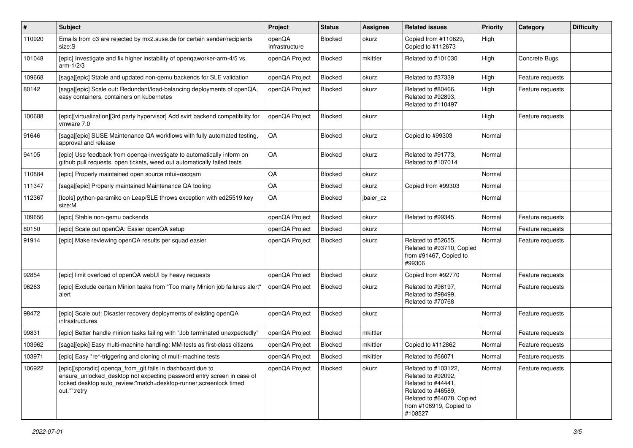| #      | <b>Subject</b>                                                                                                                                                                                                            | Project                  | <b>Status</b>  | <b>Assignee</b> | <b>Related issues</b>                                                                                                                                    | <b>Priority</b> | Category         | <b>Difficulty</b> |
|--------|---------------------------------------------------------------------------------------------------------------------------------------------------------------------------------------------------------------------------|--------------------------|----------------|-----------------|----------------------------------------------------------------------------------------------------------------------------------------------------------|-----------------|------------------|-------------------|
| 110920 | Emails from o3 are rejected by mx2.suse.de for certain sender/recipients<br>size:S                                                                                                                                        | openQA<br>Infrastructure | Blocked        | okurz           | Copied from #110629,<br>Copied to #112673                                                                                                                | High            |                  |                   |
| 101048 | [epic] Investigate and fix higher instability of opengaworker-arm-4/5 vs.<br>$arm-1/2/3$                                                                                                                                  | openQA Project           | Blocked        | mkittler        | Related to #101030                                                                                                                                       | High            | Concrete Bugs    |                   |
| 109668 | [saga][epic] Stable and updated non-gemu backends for SLE validation                                                                                                                                                      | openQA Project           | Blocked        | okurz           | Related to #37339                                                                                                                                        | High            | Feature requests |                   |
| 80142  | [saga][epic] Scale out: Redundant/load-balancing deployments of openQA,<br>easy containers, containers on kubernetes                                                                                                      | openQA Project           | Blocked        | okurz           | Related to #80466.<br>Related to #92893,<br>Related to #110497                                                                                           | High            | Feature requests |                   |
| 100688 | [epic][virtualization][3rd party hypervisor] Add svirt backend compatibility for<br>vmware 7.0                                                                                                                            | openQA Project           | <b>Blocked</b> | okurz           |                                                                                                                                                          | High            | Feature requests |                   |
| 91646  | [saga][epic] SUSE Maintenance QA workflows with fully automated testing,<br>approval and release                                                                                                                          | QA                       | Blocked        | okurz           | Copied to #99303                                                                                                                                         | Normal          |                  |                   |
| 94105  | [epic] Use feedback from openga-investigate to automatically inform on<br>github pull requests, open tickets, weed out automatically failed tests                                                                         | QA                       | Blocked        | okurz           | Related to #91773,<br>Related to #107014                                                                                                                 | Normal          |                  |                   |
| 110884 | [epic] Properly maintained open source mtui+oscqam                                                                                                                                                                        | QA                       | Blocked        | okurz           |                                                                                                                                                          | Normal          |                  |                   |
| 111347 | [saga][epic] Properly maintained Maintenance QA tooling                                                                                                                                                                   | QA                       | Blocked        | okurz           | Copied from #99303                                                                                                                                       | Normal          |                  |                   |
| 112367 | [tools] python-paramiko on Leap/SLE throws exception with ed25519 key<br>size:M                                                                                                                                           | QA                       | Blocked        | jbaier_cz       |                                                                                                                                                          | Normal          |                  |                   |
| 109656 | [epic] Stable non-gemu backends                                                                                                                                                                                           | openQA Project           | Blocked        | okurz           | Related to #99345                                                                                                                                        | Normal          | Feature requests |                   |
| 80150  | [epic] Scale out openQA: Easier openQA setup                                                                                                                                                                              | openQA Project           | Blocked        | okurz           |                                                                                                                                                          | Normal          | Feature requests |                   |
| 91914  | [epic] Make reviewing openQA results per squad easier                                                                                                                                                                     | openQA Project           | Blocked        | okurz           | Related to #52655,<br>Related to #93710, Copied<br>from #91467, Copied to<br>#99306                                                                      | Normal          | Feature requests |                   |
| 92854  | [epic] limit overload of openQA webUI by heavy requests                                                                                                                                                                   | openQA Project           | Blocked        | okurz           | Copied from #92770                                                                                                                                       | Normal          | Feature requests |                   |
| 96263  | [epic] Exclude certain Minion tasks from "Too many Minion job failures alert"<br>alert                                                                                                                                    | openQA Project           | Blocked        | okurz           | Related to #96197,<br>Related to #98499.<br>Related to #70768                                                                                            | Normal          | Feature requests |                   |
| 98472  | [epic] Scale out: Disaster recovery deployments of existing openQA<br>infrastructures                                                                                                                                     | openQA Project           | Blocked        | okurz           |                                                                                                                                                          | Normal          | Feature requests |                   |
| 99831  | [epic] Better handle minion tasks failing with "Job terminated unexpectedly"                                                                                                                                              | openQA Project           | <b>Blocked</b> | mkittler        |                                                                                                                                                          | Normal          | Feature requests |                   |
| 103962 | [saga][epic] Easy multi-machine handling: MM-tests as first-class citizens                                                                                                                                                | openQA Project           | Blocked        | mkittler        | Copied to #112862                                                                                                                                        | Normal          | Feature requests |                   |
| 103971 | [epic] Easy *re*-triggering and cloning of multi-machine tests                                                                                                                                                            | openQA Project   Blocked |                | mkittler        | Related to #66071                                                                                                                                        | Normal          | Feature requests |                   |
| 106922 | [epic][sporadic] openga_from_git fails in dashboard due to<br>ensure_unlocked_desktop not expecting password entry screen in case of<br>locked desktop auto_review:"match=desktop-runner,screenlock timed<br>out.*":retry | openQA Project           | Blocked        | okurz           | Related to #103122,<br>Related to #92092,<br>Related to #44441,<br>Related to #46589,<br>Related to #64078, Copied<br>from #106919, Copied to<br>#108527 | Normal          | Feature requests |                   |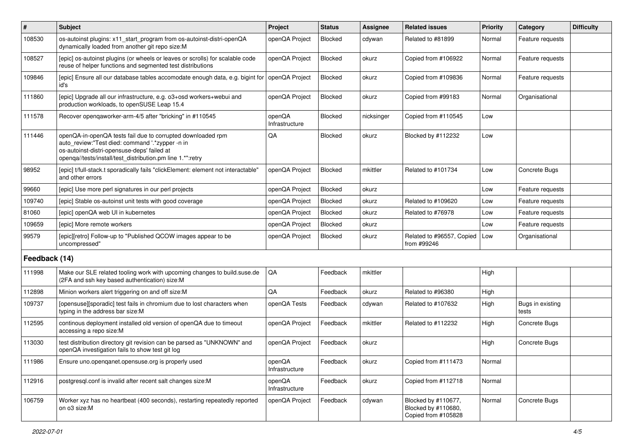| #             | Subject                                                                                                                                                                                                                     | Project                  | <b>Status</b> | <b>Assignee</b> | <b>Related issues</b>                                             | Priority | Category                  | <b>Difficulty</b> |
|---------------|-----------------------------------------------------------------------------------------------------------------------------------------------------------------------------------------------------------------------------|--------------------------|---------------|-----------------|-------------------------------------------------------------------|----------|---------------------------|-------------------|
| 108530        | os-autoinst plugins: x11_start_program from os-autoinst-distri-openQA<br>dynamically loaded from another git repo size:M                                                                                                    | openQA Project           | Blocked       | cdywan          | Related to #81899                                                 | Normal   | Feature requests          |                   |
| 108527        | [epic] os-autoinst plugins (or wheels or leaves or scrolls) for scalable code<br>reuse of helper functions and segmented test distributions                                                                                 | openQA Project           | Blocked       | okurz           | Copied from #106922                                               | Normal   | Feature requests          |                   |
| 109846        | [epic] Ensure all our database tables accomodate enough data, e.g. bigint for<br>id's                                                                                                                                       | openQA Project           | Blocked       | okurz           | Copied from #109836                                               | Normal   | Feature requests          |                   |
| 111860        | [epic] Upgrade all our infrastructure, e.g. o3+osd workers+webui and<br>production workloads, to openSUSE Leap 15.4                                                                                                         | openQA Project           | Blocked       | okurz           | Copied from #99183                                                | Normal   | Organisational            |                   |
| 111578        | Recover opengaworker-arm-4/5 after "bricking" in #110545                                                                                                                                                                    | openQA<br>Infrastructure | Blocked       | nicksinger      | Copied from #110545                                               | Low      |                           |                   |
| 111446        | openQA-in-openQA tests fail due to corrupted downloaded rpm<br>auto_review:"Test died: command '.*zypper -n in<br>os-autoinst-distri-opensuse-deps' failed at<br>openqa//tests/install/test_distribution.pm line 1.*":retry | QA                       | Blocked       | okurz           | Blocked by #112232                                                | Low      |                           |                   |
| 98952         | [epic] t/full-stack.t sporadically fails "clickElement: element not interactable"<br>and other errors                                                                                                                       | openQA Project           | Blocked       | mkittler        | Related to #101734                                                | Low      | Concrete Bugs             |                   |
| 99660         | [epic] Use more perl signatures in our perl projects                                                                                                                                                                        | openQA Project           | Blocked       | okurz           |                                                                   | Low      | Feature requests          |                   |
| 109740        | [epic] Stable os-autoinst unit tests with good coverage                                                                                                                                                                     | openQA Project           | Blocked       | okurz           | Related to #109620                                                | Low      | Feature requests          |                   |
| 81060         | [epic] openQA web UI in kubernetes                                                                                                                                                                                          | openQA Project           | Blocked       | okurz           | Related to #76978                                                 | Low      | Feature requests          |                   |
| 109659        | [epic] More remote workers                                                                                                                                                                                                  | openQA Project           | Blocked       | okurz           |                                                                   | Low      | Feature requests          |                   |
| 99579         | [epic][retro] Follow-up to "Published QCOW images appear to be<br>uncompressed"                                                                                                                                             | openQA Project           | Blocked       | okurz           | Related to #96557, Copied<br>from #99246                          | Low      | Organisational            |                   |
| Feedback (14) |                                                                                                                                                                                                                             |                          |               |                 |                                                                   |          |                           |                   |
| 111998        | Make our SLE related tooling work with upcoming changes to build.suse.de<br>(2FA and ssh key based authentication) size:M                                                                                                   | QA                       | Feedback      | mkittler        |                                                                   | High     |                           |                   |
| 112898        | Minion workers alert triggering on and off size:M                                                                                                                                                                           | QA                       | Feedback      | okurz           | Related to #96380                                                 | High     |                           |                   |
| 109737        | [opensuse][sporadic] test fails in chromium due to lost characters when<br>typing in the address bar size:M                                                                                                                 | openQA Tests             | Feedback      | cdywan          | Related to #107632                                                | High     | Bugs in existing<br>tests |                   |
| 112595        | continous deployment installed old version of openQA due to timeout<br>accessing a repo size:M                                                                                                                              | openQA Project           | Feedback      | mkittler        | Related to #112232                                                | High     | Concrete Bugs             |                   |
| 113030        | test distribution directory git revision can be parsed as "UNKNOWN" and<br>openQA investigation fails to show test git log                                                                                                  | openQA Project           | Feedback      | okurz           |                                                                   | High     | Concrete Bugs             |                   |
| 111986        | Ensure uno openganet opensuse org is properly used                                                                                                                                                                          | openQA<br>Infrastructure | Feedback      | okurz           | Copied from #111473                                               | Normal   |                           |                   |
| 112916        | postgresql.conf is invalid after recent salt changes size:M                                                                                                                                                                 | openQA<br>Infrastructure | Feedback      | okurz           | Copied from #112718                                               | Normal   |                           |                   |
| 106759        | Worker xyz has no heartbeat (400 seconds), restarting repeatedly reported<br>on o3 size:M                                                                                                                                   | openQA Project           | Feedback      | cdywan          | Blocked by #110677,<br>Blocked by #110680,<br>Copied from #105828 | Normal   | Concrete Bugs             |                   |